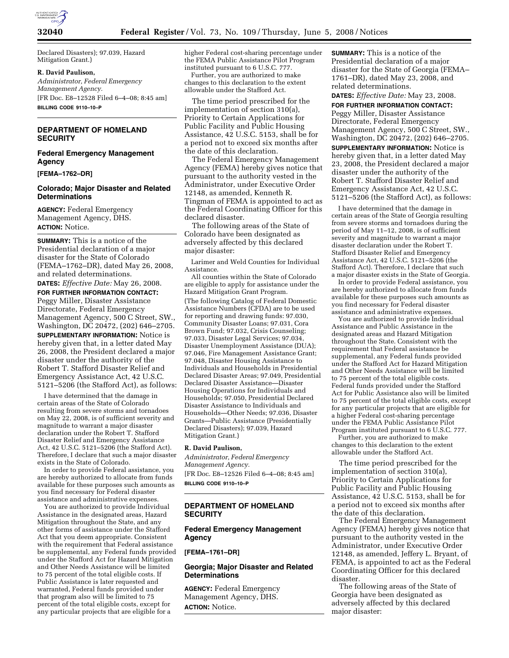

Declared Disasters); 97.039, Hazard Mitigation Grant.)

### **R. David Paulison,**

*Administrator, Federal Emergency Management Agency.*  [FR Doc. E8–12528 Filed 6–4–08; 8:45 am] **BILLING CODE 9110–10–P** 

# **DEPARTMENT OF HOMELAND SECURITY**

### **Federal Emergency Management Agency**

**[FEMA–1762–DR]** 

### **Colorado; Major Disaster and Related Determinations**

**AGENCY:** Federal Emergency Management Agency, DHS. **ACTION:** Notice.

**SUMMARY:** This is a notice of the Presidential declaration of a major disaster for the State of Colorado (FEMA–1762–DR), dated May 26, 2008, and related determinations.

**DATES:** *Effective Date:* May 26, 2008. **FOR FURTHER INFORMATION CONTACT:**  Peggy Miller, Disaster Assistance Directorate, Federal Emergency Management Agency, 500 C Street, SW., Washington, DC 20472, (202) 646–2705. **SUPPLEMENTARY INFORMATION:** Notice is hereby given that, in a letter dated May 26, 2008, the President declared a major disaster under the authority of the Robert T. Stafford Disaster Relief and Emergency Assistance Act, 42 U.S.C. 5121–5206 (the Stafford Act), as follows:

I have determined that the damage in certain areas of the State of Colorado resulting from severe storms and tornadoes on May 22, 2008, is of sufficient severity and magnitude to warrant a major disaster declaration under the Robert T. Stafford Disaster Relief and Emergency Assistance Act, 42 U.S.C. 5121–5206 (the Stafford Act). Therefore, I declare that such a major disaster exists in the State of Colorado.

In order to provide Federal assistance, you are hereby authorized to allocate from funds available for these purposes such amounts as you find necessary for Federal disaster assistance and administrative expenses.

You are authorized to provide Individual Assistance in the designated areas, Hazard Mitigation throughout the State, and any other forms of assistance under the Stafford Act that you deem appropriate. Consistent with the requirement that Federal assistance be supplemental, any Federal funds provided under the Stafford Act for Hazard Mitigation and Other Needs Assistance will be limited to 75 percent of the total eligible costs. If Public Assistance is later requested and warranted, Federal funds provided under that program also will be limited to 75 percent of the total eligible costs, except for any particular projects that are eligible for a

higher Federal cost-sharing percentage under the FEMA Public Assistance Pilot Program instituted pursuant to 6 U.S.C. 777.

Further, you are authorized to make changes to this declaration to the extent allowable under the Stafford Act.

The time period prescribed for the implementation of section 310(a), Priority to Certain Applications for Public Facility and Public Housing Assistance, 42 U.S.C. 5153, shall be for a period not to exceed six months after the date of this declaration.

The Federal Emergency Management Agency (FEMA) hereby gives notice that pursuant to the authority vested in the Administrator, under Executive Order 12148, as amended, Kenneth R. Tingman of FEMA is appointed to act as the Federal Coordinating Officer for this declared disaster.

The following areas of the State of Colorado have been designated as adversely affected by this declared major disaster:

Larimer and Weld Counties for Individual Assistance.

All counties within the State of Colorado are eligible to apply for assistance under the Hazard Mitigation Grant Program. (The following Catalog of Federal Domestic Assistance Numbers (CFDA) are to be used for reporting and drawing funds: 97.030, Community Disaster Loans; 97.031, Cora Brown Fund; 97.032, Crisis Counseling; 97.033, Disaster Legal Services; 97.034, Disaster Unemployment Assistance (DUA); 97.046, Fire Management Assistance Grant; 97.048, Disaster Housing Assistance to Individuals and Households in Presidential Declared Disaster Areas; 97.049, Presidential Declared Disaster Assistance—Disaster Housing Operations for Individuals and Households; 97.050, Presidential Declared Disaster Assistance to Individuals and Households—Other Needs; 97.036, Disaster Grants—Public Assistance (Presidentially Declared Disasters); 97.039, Hazard Mitigation Grant.)

### **R. David Paulison,**

*Administrator, Federal Emergency Management Agency.*  [FR Doc. E8–12526 Filed 6–4–08; 8:45 am] **BILLING CODE 9110–10–P** 

# **DEPARTMENT OF HOMELAND SECURITY**

## **Federal Emergency Management Agency**

**[FEMA–1761–DR]** 

## **Georgia; Major Disaster and Related Determinations**

**AGENCY:** Federal Emergency Management Agency, DHS. **ACTION:** Notice.

**SUMMARY:** This is a notice of the Presidential declaration of a major disaster for the State of Georgia (FEMA– 1761–DR), dated May 23, 2008, and related determinations.

**DATES:** *Effective Date:* May 23, 2008.

**FOR FURTHER INFORMATION CONTACT:**  Peggy Miller, Disaster Assistance Directorate, Federal Emergency Management Agency, 500 C Street, SW., Washington, DC 20472, (202) 646–2705. **SUPPLEMENTARY INFORMATION:** Notice is hereby given that, in a letter dated May 23, 2008, the President declared a major disaster under the authority of the Robert T. Stafford Disaster Relief and Emergency Assistance Act, 42 U.S.C. 5121–5206 (the Stafford Act), as follows:

I have determined that the damage in certain areas of the State of Georgia resulting from severe storms and tornadoes during the period of May 11–12, 2008, is of sufficient severity and magnitude to warrant a major disaster declaration under the Robert T. Stafford Disaster Relief and Emergency Assistance Act, 42 U.S.C. 5121–5206 (the Stafford Act). Therefore, I declare that such a major disaster exists in the State of Georgia.

In order to provide Federal assistance, you are hereby authorized to allocate from funds available for these purposes such amounts as you find necessary for Federal disaster assistance and administrative expenses.

You are authorized to provide Individual Assistance and Public Assistance in the designated areas and Hazard Mitigation throughout the State. Consistent with the requirement that Federal assistance be supplemental, any Federal funds provided under the Stafford Act for Hazard Mitigation and Other Needs Assistance will be limited to 75 percent of the total eligible costs. Federal funds provided under the Stafford Act for Public Assistance also will be limited to 75 percent of the total eligible costs, except for any particular projects that are eligible for a higher Federal cost-sharing percentage under the FEMA Public Assistance Pilot Program instituted pursuant to 6 U.S.C. 777.

Further, you are authorized to make changes to this declaration to the extent allowable under the Stafford Act.

The time period prescribed for the implementation of section 310(a), Priority to Certain Applications for Public Facility and Public Housing Assistance, 42 U.S.C. 5153, shall be for a period not to exceed six months after the date of this declaration.

The Federal Emergency Management Agency (FEMA) hereby gives notice that pursuant to the authority vested in the Administrator, under Executive Order 12148, as amended, Jeffery L. Bryant, of FEMA, is appointed to act as the Federal Coordinating Officer for this declared disaster.

The following areas of the State of Georgia have been designated as adversely affected by this declared major disaster: